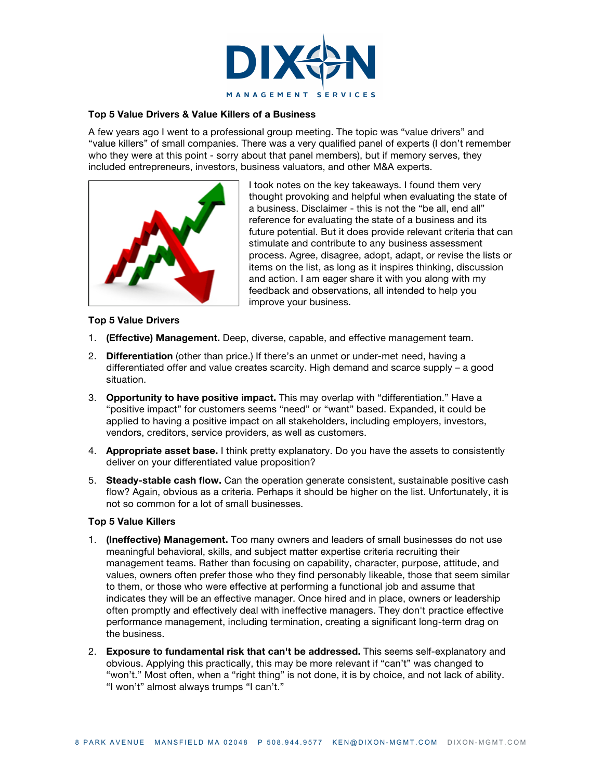

## **Top 5 Value Drivers & Value Killers of a Business**

A few years ago I went to a professional group meeting. The topic was "value drivers" and "value killers" of small companies. There was a very qualified panel of experts (I don't remember who they were at this point - sorry about that panel members), but if memory serves, they included entrepreneurs, investors, business valuators, and other M&A experts.



I took notes on the key takeaways. I found them very thought provoking and helpful when evaluating the state of a business. Disclaimer - this is not the "be all, end all" reference for evaluating the state of a business and its future potential. But it does provide relevant criteria that can stimulate and contribute to any business assessment process. Agree, disagree, adopt, adapt, or revise the lists or items on the list, as long as it inspires thinking, discussion and action. I am eager share it with you along with my feedback and observations, all intended to help you improve your business.

## **Top 5 Value Drivers**

- 1. **(Effective) Management.** Deep, diverse, capable, and effective management team.
- 2. **Differentiation** (other than price.) If there's an unmet or under-met need, having a differentiated offer and value creates scarcity. High demand and scarce supply – a good situation.
- 3. **Opportunity to have positive impact.** This may overlap with "differentiation." Have a "positive impact" for customers seems "need" or "want" based. Expanded, it could be applied to having a positive impact on all stakeholders, including employers, investors, vendors, creditors, service providers, as well as customers.
- 4. **Appropriate asset base.** I think pretty explanatory. Do you have the assets to consistently deliver on your differentiated value proposition?
- 5. **Steady-stable cash flow.** Can the operation generate consistent, sustainable positive cash flow? Again, obvious as a criteria. Perhaps it should be higher on the list. Unfortunately, it is not so common for a lot of small businesses.

## **Top 5 Value Killers**

- 1. **(Ineffective) Management.** Too many owners and leaders of small businesses do not use meaningful behavioral, skills, and subject matter expertise criteria recruiting their management teams. Rather than focusing on capability, character, purpose, attitude, and values, owners often prefer those who they find personably likeable, those that seem similar to them, or those who were effective at performing a functional job and assume that indicates they will be an effective manager. Once hired and in place, owners or leadership often promptly and effectively deal with ineffective managers. They don't practice effective performance management, including termination, creating a significant long-term drag on the business.
- 2. **Exposure to fundamental risk that can't be addressed.** This seems self-explanatory and obvious. Applying this practically, this may be more relevant if "can't" was changed to "won't." Most often, when a "right thing" is not done, it is by choice, and not lack of ability. "I won't" almost always trumps "I can't."